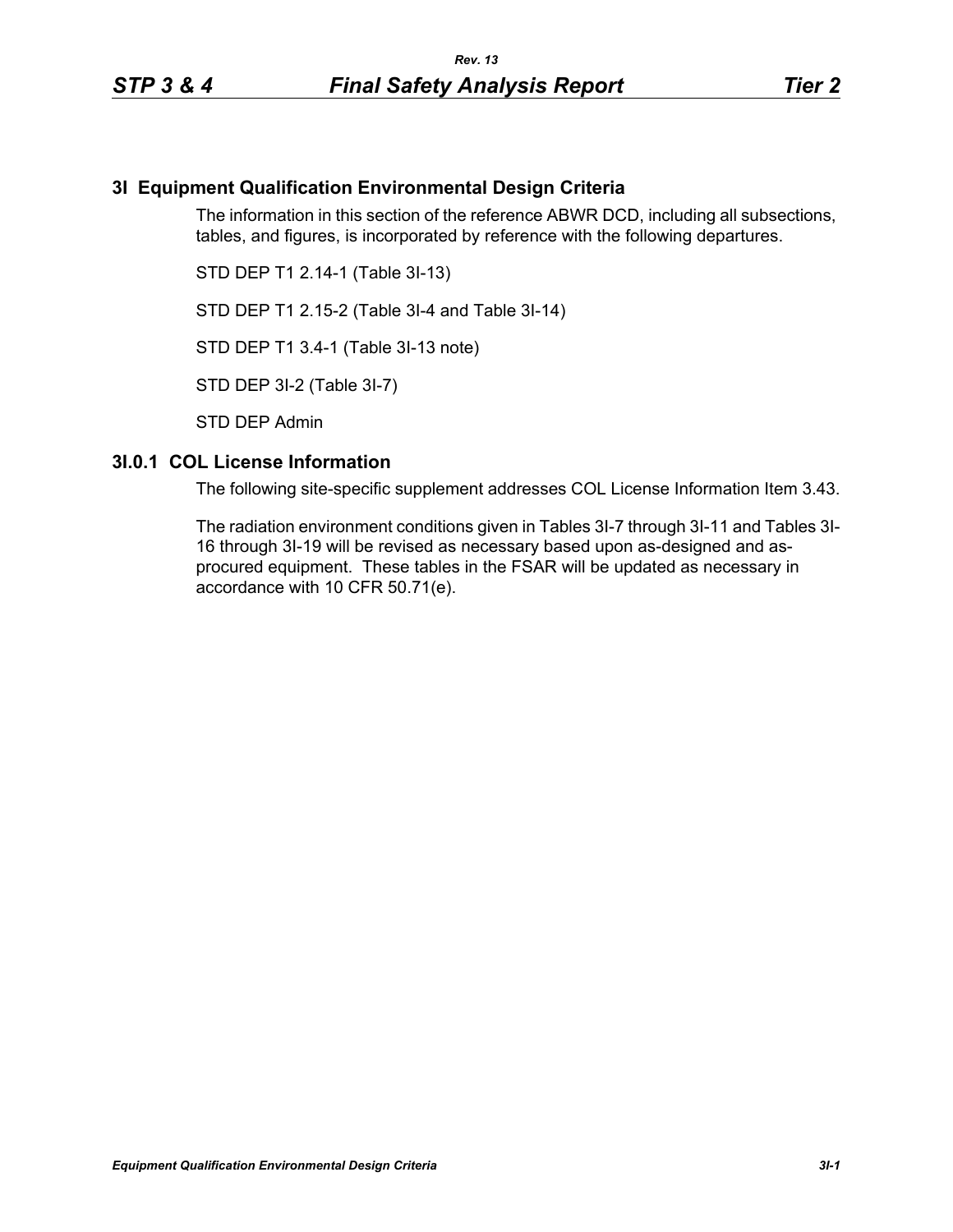## **3I Equipment Qualification Environmental Design Criteria**

The information in this section of the reference ABWR DCD, including all subsections, tables, and figures, is incorporated by reference with the following departures.

STD DEP T1 2.14-1 (Table 3I-13)

STD DEP T1 2.15-2 (Table 3I-4 and Table 3I-14)

STD DEP T1 3.4-1 (Table 3I-13 note)

STD DEP 3I-2 (Table 3I-7)

STD DEP Admin

#### **3I.0.1 COL License Information**

The following site-specific supplement addresses COL License Information Item 3.43.

The radiation environment conditions given in Tables 3I-7 through 3I-11 and Tables 3I-16 through 3I-19 will be revised as necessary based upon as-designed and asprocured equipment. These tables in the FSAR will be updated as necessary in accordance with 10 CFR 50.71(e).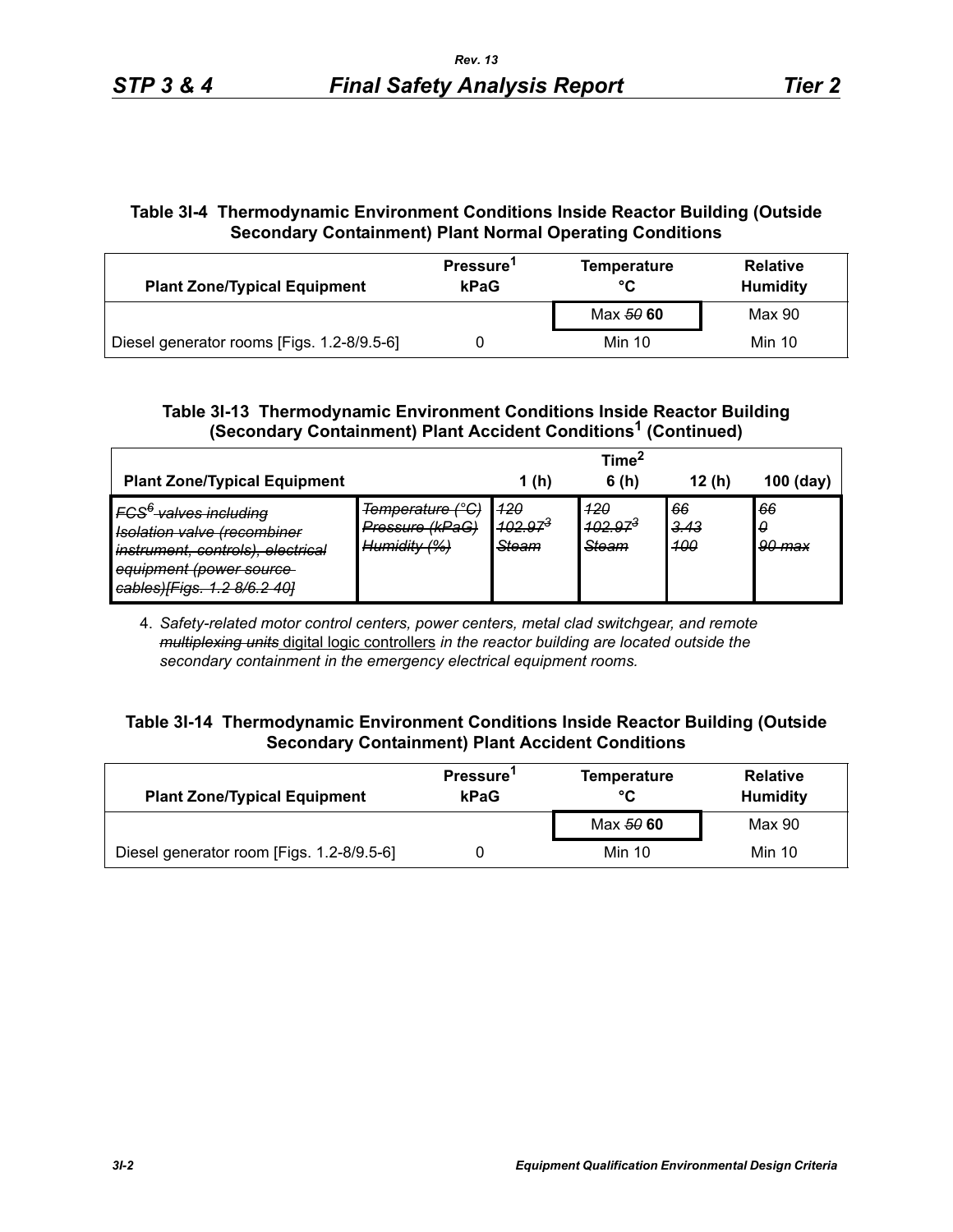# **Table 3I-4 Thermodynamic Environment Conditions Inside Reactor Building (Outside Secondary Containment) Plant Normal Operating Conditions**

| <b>Plant Zone/Typical Equipment</b>        | Pressure <sup>1</sup><br>kPaG | <b>Temperature</b><br>°C | <b>Relative</b><br><b>Humidity</b> |  |
|--------------------------------------------|-------------------------------|--------------------------|------------------------------------|--|
|                                            |                               | Max 50 60                | Max 90                             |  |
| Diesel generator rooms [Figs. 1.2-8/9.5-6] |                               | Min 10                   | Min 10                             |  |

# **Table 3I-13 Thermodynamic Environment Conditions Inside Reactor Building (Secondary Containment) Plant Accident Conditions1 (Continued)**

|                                                                                                                                                                                                                                     |                                                     |                                      | Time <sup>*</sup>                             |                          |                   |
|-------------------------------------------------------------------------------------------------------------------------------------------------------------------------------------------------------------------------------------|-----------------------------------------------------|--------------------------------------|-----------------------------------------------|--------------------------|-------------------|
| <b>Plant Zone/Typical Equipment</b>                                                                                                                                                                                                 |                                                     | 1(h)                                 | 6(h)                                          | 12(h)                    | $100$ (day)       |
| FCS <sup>6</sup> valves including<br>Jeolation valve (recombiner<br><del>isolation valve hecomolite</del> i<br>instrument, controls), electrical<br>equipment (power source<br>$\text{cable}$<br><del>cabicoj riyo. 1.2 0/0.2</del> | Temperature (°C)<br>Pressure (kPaG)<br>Humidity (%) | <u> 120</u><br>$102.97^{3}$<br>Steam | 420<br><del>102.97<sup>3</sup></del><br>Steam | 66<br>3.43<br><b>100</b> | 66<br>0<br>90 max |

4. *Safety-related motor control centers, power centers, metal clad switchgear, and remote multiplexing units* digital logic controllers *in the reactor building are located outside the secondary containment in the emergency electrical equipment rooms.*

# **Table 3I-14 Thermodynamic Environment Conditions Inside Reactor Building (Outside Secondary Containment) Plant Accident Conditions**

| <b>Plant Zone/Typical Equipment</b>       | Pressure <sup>1</sup><br>kPaG | Temperature<br>°C | <b>Relative</b><br><b>Humidity</b> |  |
|-------------------------------------------|-------------------------------|-------------------|------------------------------------|--|
|                                           |                               | Max 50 60         | Max 90                             |  |
| Diesel generator room [Figs. 1.2-8/9.5-6] |                               | <b>Min 10</b>     | <b>Min 10</b>                      |  |